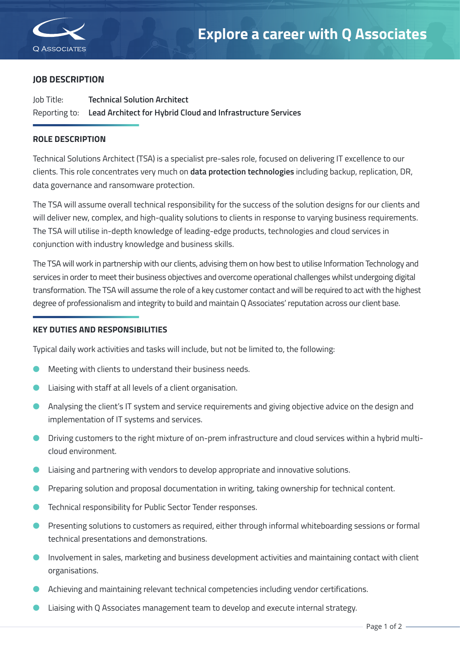

Specialist IT Services

## **JOB DESCRIPTION**

Job Title: **Technical Solution Architect** Reporting to: **Lead Architect for Hybrid Cloud and Infrastructure Services**

## **ROLE DESCRIPTION**

Technical Solutions Architect (TSA) is a specialist pre-sales role, focused on delivering IT excellence to our clients. This role concentrates very much on **data protection technologies** including backup, replication, DR, data governance and ransomware protection.

The TSA will assume overall technical responsibility for the success of the solution designs for our clients and will deliver new, complex, and high-quality solutions to clients in response to varying business requirements. The TSA will utilise in-depth knowledge of leading-edge products, technologies and cloud services in conjunction with industry knowledge and business skills.

The TSA will work in partnership with our clients, advising them on how best to utilise Information Technology and services in order to meet their business objectives and overcome operational challenges whilst undergoing digital transformation. The TSA will assume the role of a key customer contact and will be required to act with the highest degree of professionalism and integrity to build and maintain Q Associates' reputation across our client base.

## **KEY DUTIES AND RESPONSIBILITIES**

Typical daily work activities and tasks will include, but not be limited to, the following:

- l Meeting with clients to understand their business needs.
- l Liaising with staff at all levels of a client organisation.
- l Analysing the client's IT system and service requirements and giving objective advice on the design and implementation of IT systems and services.
- l Driving customers to the right mixture of on-prem infrastructure and cloud services within a hybrid multicloud environment.
- l Liaising and partnering with vendors to develop appropriate and innovative solutions.
- Preparing solution and proposal documentation in writing, taking ownership for technical content.
- Technical responsibility for Public Sector Tender responses.
- Presenting solutions to customers as required, either through informal whiteboarding sessions or formal technical presentations and demonstrations.
- l Involvement in sales, marketing and business development activities and maintaining contact with client organisations.
- **•** Achieving and maintaining relevant technical competencies including vendor certifications.
- Liaising with Q Associates management team to develop and execute internal strategy.